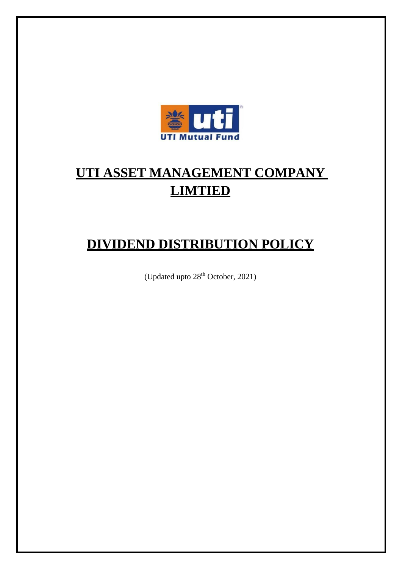

# **UTI ASSET MANAGEMENT COMPANY LIMTIED**

## **DIVIDEND DISTRIBUTION POLICY**

(Updated upto 28<sup>th</sup> October, 2021)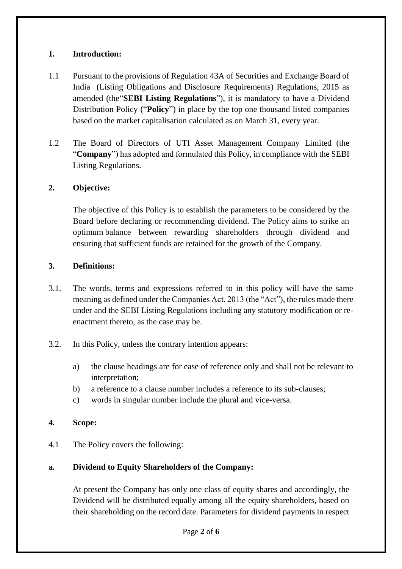#### **1. Introduction:**

- 1.1 Pursuant to the provisions of Regulation 43A of Securities and Exchange Board of India (Listing Obligations and Disclosure Requirements) Regulations, 2015 as amended (the"**SEBI Listing Regulations**"), it is mandatory to have a Dividend Distribution Policy ("**Policy**") in place by the top one thousand listed companies based on the market capitalisation calculated as on March 31, every year.
- 1.2 The Board of Directors of UTI Asset Management Company Limited (the "**Company**") has adopted and formulated this Policy, in compliance with the SEBI Listing Regulations.

#### **2. Objective:**

The objective of this Policy is to establish the parameters to be considered by the Board before declaring or recommending dividend. The Policy aims to strike an optimum balance between rewarding shareholders through dividend and ensuring that sufficient funds are retained for the growth of the Company.

#### **3. Definitions:**

- 3.1. The words, terms and expressions referred to in this policy will have the same meaning as defined under the Companies Act, 2013 (the "Act"), the rules made there under and the SEBI Listing Regulations including any statutory modification or reenactment thereto, as the case may be.
- 3.2. In this Policy, unless the contrary intention appears:
	- a) the clause headings are for ease of reference only and shall not be relevant to interpretation;
	- b) a reference to a clause number includes a reference to its sub-clauses;
	- c) words in singular number include the plural and vice-versa.

#### **4. Scope:**

4.1 The Policy covers the following:

## **a. Dividend to Equity Shareholders of the Company:**

At present the Company has only one class of equity shares and accordingly, the Dividend will be distributed equally among all the equity shareholders, based on their shareholding on the record date. Parameters for dividend payments in respect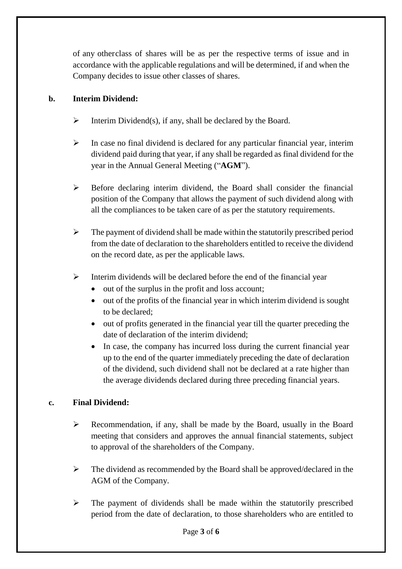of any otherclass of shares will be as per the respective terms of issue and in accordance with the applicable regulations and will be determined, if and when the Company decides to issue other classes of shares.

### **b. Interim Dividend:**

- $\triangleright$  Interim Dividend(s), if any, shall be declared by the Board.
- $\triangleright$  In case no final dividend is declared for any particular financial year, interim dividend paid during that year, if any shall be regarded as final dividend for the year in the Annual General Meeting ("**AGM**").
- $\triangleright$  Before declaring interim dividend, the Board shall consider the financial position of the Company that allows the payment of such dividend along with all the compliances to be taken care of as per the statutory requirements.
- $\triangleright$  The payment of dividend shall be made within the statutorily prescribed period from the date of declaration to the shareholders entitled to receive the dividend on the record date, as per the applicable laws.
- $\triangleright$  Interim dividends will be declared before the end of the financial year
	- out of the surplus in the profit and loss account;
	- out of the profits of the financial year in which interim dividend is sought to be declared;
	- out of profits generated in the financial year till the quarter preceding the date of declaration of the interim dividend;
	- In case, the company has incurred loss during the current financial year up to the end of the quarter immediately preceding the date of declaration of the dividend, such dividend shall not be declared at a rate higher than the average dividends declared during three preceding financial years.

## **c. Final Dividend:**

- Recommendation, if any, shall be made by the Board, usually in the Board meeting that considers and approves the annual financial statements, subject to approval of the shareholders of the Company.
- $\triangleright$  The dividend as recommended by the Board shall be approved/declared in the AGM of the Company.
- $\triangleright$  The payment of dividends shall be made within the statutorily prescribed period from the date of declaration, to those shareholders who are entitled to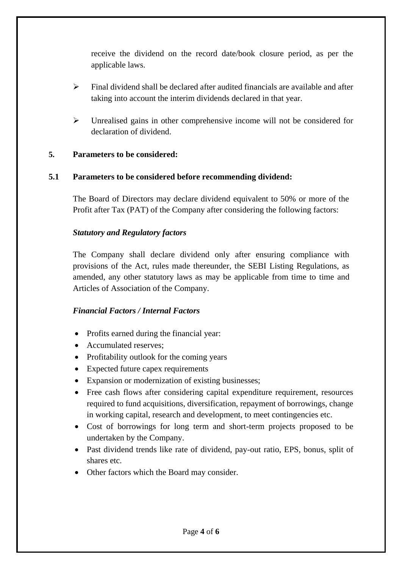receive the dividend on the record date/book closure period, as per the applicable laws.

- $\triangleright$  Final dividend shall be declared after audited financials are available and after taking into account the interim dividends declared in that year.
- $\triangleright$  Unrealised gains in other comprehensive income will not be considered for declaration of dividend.

#### **5. Parameters to be considered:**

#### **5.1 Parameters to be considered before recommending dividend:**

The Board of Directors may declare dividend equivalent to 50% or more of the Profit after Tax (PAT) of the Company after considering the following factors:

#### *Statutory and Regulatory factors*

The Company shall declare dividend only after ensuring compliance with provisions of the Act, rules made thereunder, the SEBI Listing Regulations, as amended, any other statutory laws as may be applicable from time to time and Articles of Association of the Company.

#### *Financial Factors / Internal Factors*

- Profits earned during the financial year:
- Accumulated reserves:
- Profitability outlook for the coming years
- Expected future capex requirements
- Expansion or modernization of existing businesses;
- Free cash flows after considering capital expenditure requirement, resources required to fund acquisitions, diversification, repayment of borrowings, change in working capital, research and development, to meet contingencies etc.
- Cost of borrowings for long term and short-term projects proposed to be undertaken by the Company.
- Past dividend trends like rate of dividend, pay-out ratio, EPS, bonus, split of shares etc.
- Other factors which the Board may consider.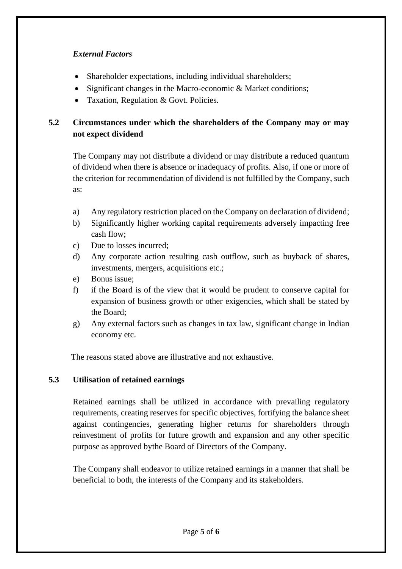## *External Factors*

- Shareholder expectations, including individual shareholders;
- Significant changes in the Macro-economic & Market conditions;
- Taxation, Regulation & Govt. Policies.

## **5.2 Circumstances under which the shareholders of the Company may or may not expect dividend**

The Company may not distribute a dividend or may distribute a reduced quantum of dividend when there is absence or inadequacy of profits. Also, if one or more of the criterion for recommendation of dividend is not fulfilled by the Company, such as:

- a) Any regulatory restriction placed on the Company on declaration of dividend;
- b) Significantly higher working capital requirements adversely impacting free cash flow;
- c) Due to losses incurred;
- d) Any corporate action resulting cash outflow, such as buyback of shares, investments, mergers, acquisitions etc.;
- e) Bonus issue;
- f) if the Board is of the view that it would be prudent to conserve capital for expansion of business growth or other exigencies, which shall be stated by the Board;
- g) Any external factors such as changes in tax law, significant change in Indian economy etc.

The reasons stated above are illustrative and not exhaustive.

## **5.3 Utilisation of retained earnings**

Retained earnings shall be utilized in accordance with prevailing regulatory requirements, creating reserves for specific objectives, fortifying the balance sheet against contingencies, generating higher returns for shareholders through reinvestment of profits for future growth and expansion and any other specific purpose as approved bythe Board of Directors of the Company.

The Company shall endeavor to utilize retained earnings in a manner that shall be beneficial to both, the interests of the Company and its stakeholders.